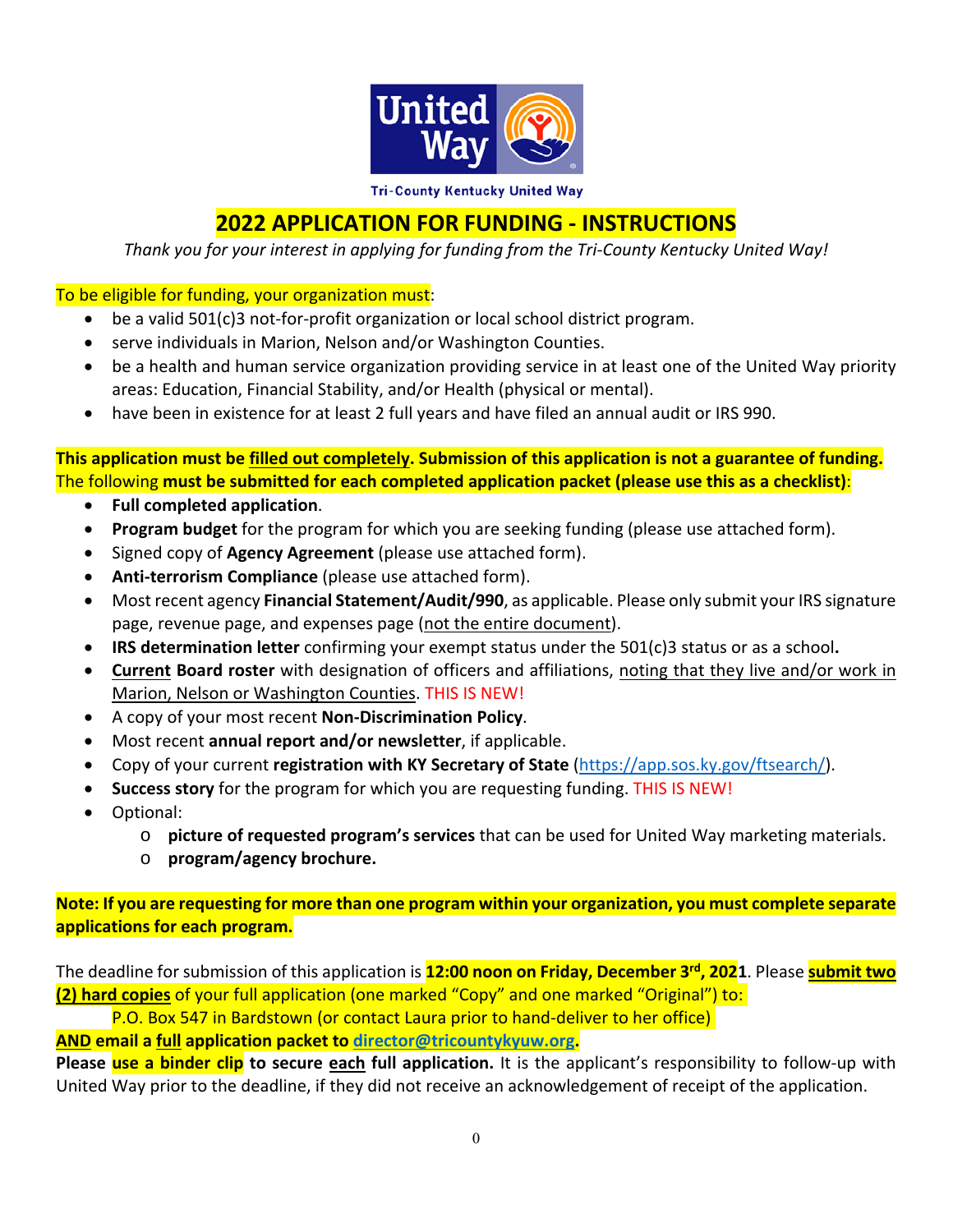

**Tri-County Kentucky United Way** 

## **2022 APPLICATION FOR FUNDING ‐ INSTRUCTIONS**

*Thank you for your interest in applying for funding from the Tri‐County Kentucky United Way!* 

## To be eligible for funding, your organization must:

- be a valid 501(c)3 not-for-profit organization or local school district program.
- serve individuals in Marion, Nelson and/or Washington Counties.
- be a health and human service organization providing service in at least one of the United Way priority areas: Education, Financial Stability, and/or Health (physical or mental).
- have been in existence for at least 2 full years and have filed an annual audit or IRS 990.

**This application must be filled out completely. Submission of this application is not a guarantee of funding.**  The following **must be submitted for each completed application packet (please use this as a checklist)**:

- **Full completed application**.
- **Program budget** for the program for which you are seeking funding (please use attached form).
- Signed copy of **Agency Agreement** (please use attached form).
- **Anti-terrorism Compliance** (please use attached form).
- Most recent agency **Financial Statement/Audit/990**, as applicable. Please only submit your IRS signature page, revenue page, and expenses page (not the entire document).
- **IRS determination letter** confirming your exempt status under the 501(c)3 status or as a school**.**
- **Current Board roster** with designation of officers and affiliations, noting that they live and/or work in Marion, Nelson or Washington Counties. THIS IS NEW!
- A copy of your most recent **Non‐Discrimination Policy**.
- Most recent **annual report and/or newsletter**, if applicable.
- Copy of your current **registration with KY Secretary of State** (https://app.sos.ky.gov/ftsearch/).
- **Success story** for the program for which you are requesting funding. THIS IS NEW!
- Optional:
	- o **picture of requested program's services** that can be used for United Way marketing materials.
	- o **program/agency brochure.**

**Note: If you are requesting for more than one program within your organization, you must complete separate applications for each program.** 

The deadline for submission of this application is **12:00 noon on Friday, December 3rd, 2021**. Please **submit two (2) hard copies** of your full application (one marked "Copy" and one marked "Original") to:

P.O. Box 547 in Bardstown (or contact Laura prior to hand‐deliver to her office)

**AND email a full application packet to director@tricountykyuw.org.** 

Please use a binder clip to secure each full application. It is the applicant's responsibility to follow-up with United Way prior to the deadline, if they did not receive an acknowledgement of receipt of the application.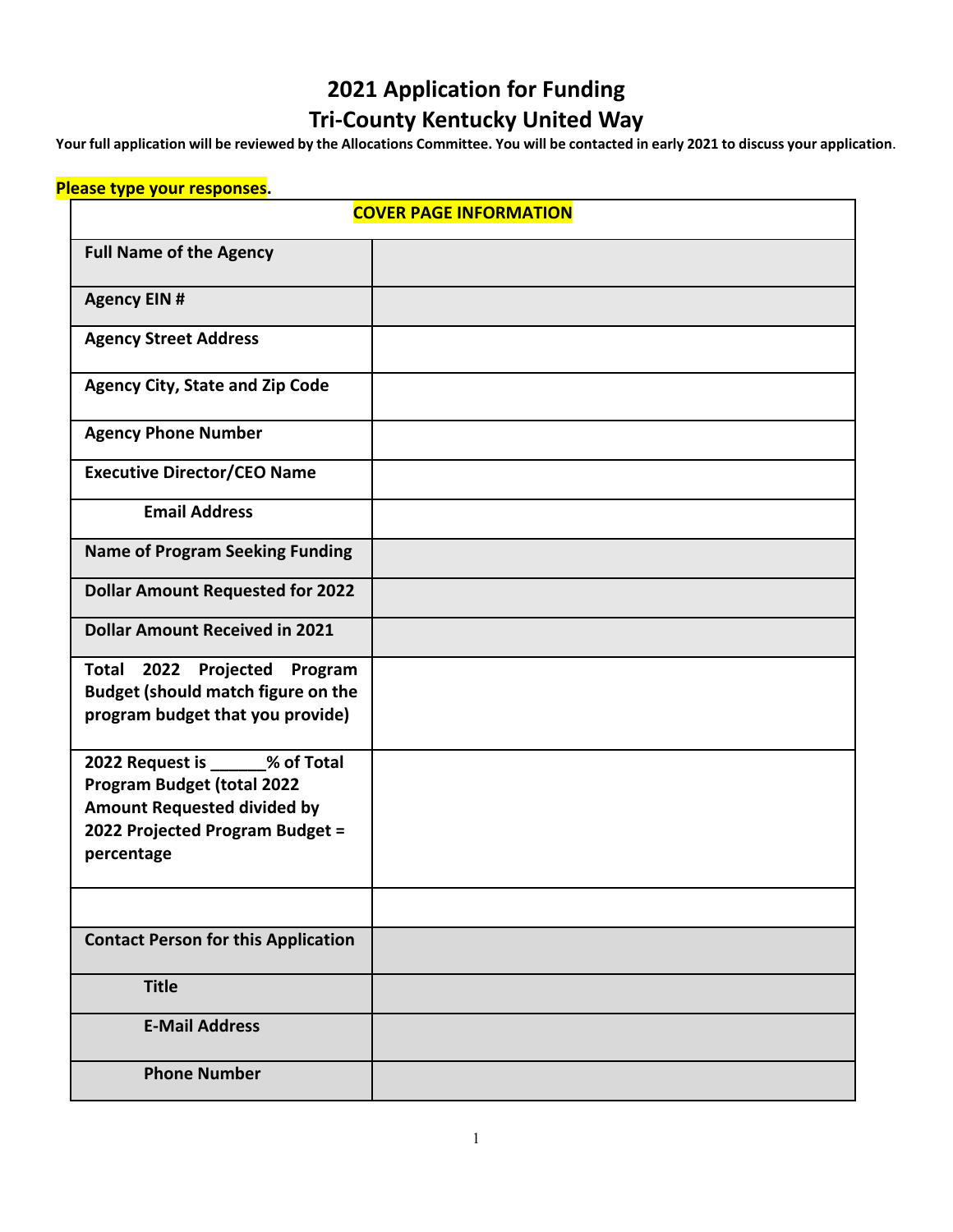# **2021 Application for Funding Tri‐County Kentucky United Way**

**Your full application will be reviewed by the Allocations Committee. You will be contacted in early 2021 to discuss your application**.

## **Please type your responses.**

| <b>COVER PAGE INFORMATION</b>                                                                                                                                |  |  |
|--------------------------------------------------------------------------------------------------------------------------------------------------------------|--|--|
| <b>Full Name of the Agency</b>                                                                                                                               |  |  |
| <b>Agency EIN#</b>                                                                                                                                           |  |  |
| <b>Agency Street Address</b>                                                                                                                                 |  |  |
| <b>Agency City, State and Zip Code</b>                                                                                                                       |  |  |
| <b>Agency Phone Number</b>                                                                                                                                   |  |  |
| <b>Executive Director/CEO Name</b>                                                                                                                           |  |  |
| <b>Email Address</b>                                                                                                                                         |  |  |
| <b>Name of Program Seeking Funding</b>                                                                                                                       |  |  |
| <b>Dollar Amount Requested for 2022</b>                                                                                                                      |  |  |
| <b>Dollar Amount Received in 2021</b>                                                                                                                        |  |  |
| <b>Total 2022</b><br>Projected Program<br><b>Budget (should match figure on the</b><br>program budget that you provide)                                      |  |  |
| 2022 Request is ______% of Total<br><b>Program Budget (total 2022</b><br><b>Amount Requested divided by</b><br>2022 Projected Program Budget =<br>percentage |  |  |
| <b>Contact Person for this Application</b>                                                                                                                   |  |  |
| <b>Title</b>                                                                                                                                                 |  |  |
| <b>E-Mail Address</b>                                                                                                                                        |  |  |
| <b>Phone Number</b>                                                                                                                                          |  |  |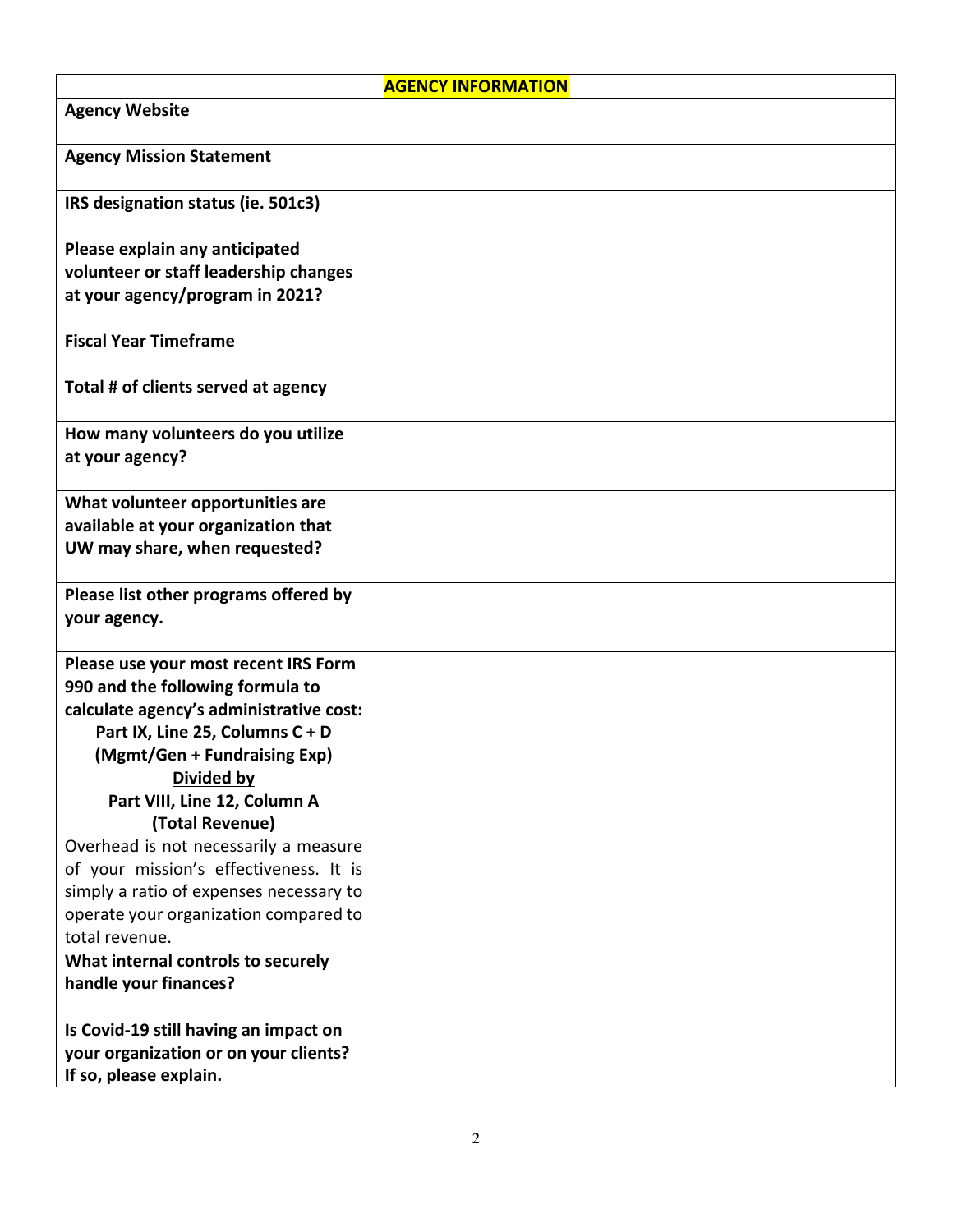|                                                                                                                                                                                                                                          | <b>AGENCY INFORMATION</b> |
|------------------------------------------------------------------------------------------------------------------------------------------------------------------------------------------------------------------------------------------|---------------------------|
| <b>Agency Website</b>                                                                                                                                                                                                                    |                           |
| <b>Agency Mission Statement</b>                                                                                                                                                                                                          |                           |
| IRS designation status (ie. 501c3)                                                                                                                                                                                                       |                           |
| Please explain any anticipated<br>volunteer or staff leadership changes<br>at your agency/program in 2021?                                                                                                                               |                           |
| <b>Fiscal Year Timeframe</b>                                                                                                                                                                                                             |                           |
| Total # of clients served at agency                                                                                                                                                                                                      |                           |
| How many volunteers do you utilize<br>at your agency?                                                                                                                                                                                    |                           |
| What volunteer opportunities are<br>available at your organization that<br>UW may share, when requested?                                                                                                                                 |                           |
| Please list other programs offered by<br>your agency.                                                                                                                                                                                    |                           |
| Please use your most recent IRS Form<br>990 and the following formula to<br>calculate agency's administrative cost:<br>Part IX, Line 25, Columns C + D<br>(Mgmt/Gen + Fundraising Exp)<br>Divided by                                     |                           |
| Part VIII, Line 12, Column A<br>(Total Revenue)<br>Overhead is not necessarily a measure<br>of your mission's effectiveness. It is<br>simply a ratio of expenses necessary to<br>operate your organization compared to<br>total revenue. |                           |
| What internal controls to securely<br>handle your finances?                                                                                                                                                                              |                           |
| Is Covid-19 still having an impact on<br>your organization or on your clients?<br>If so, please explain.                                                                                                                                 |                           |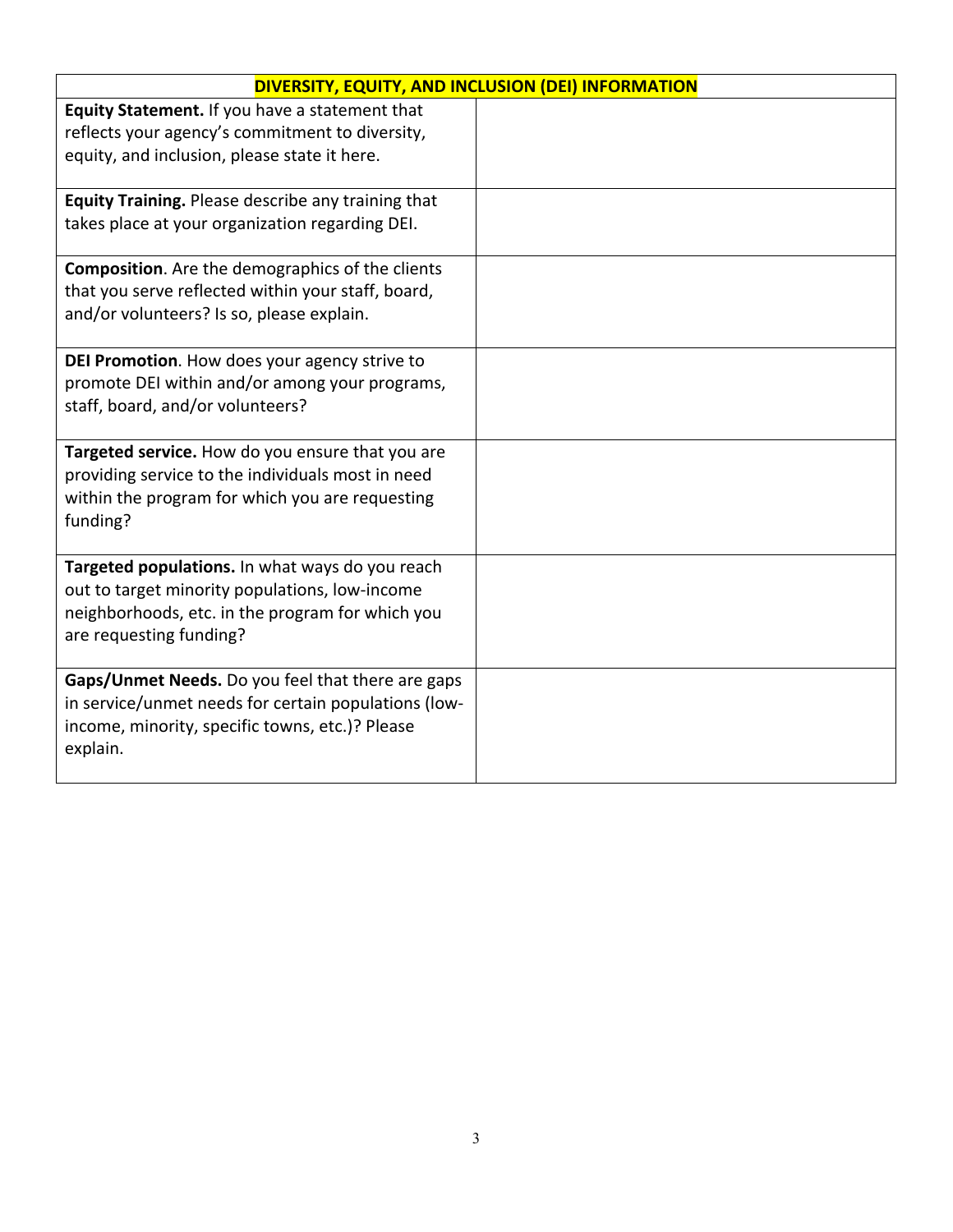| DIVERSITY, EQUITY, AND INCLUSION (DEI) INFORMATION                                                                                                                               |  |
|----------------------------------------------------------------------------------------------------------------------------------------------------------------------------------|--|
| Equity Statement. If you have a statement that<br>reflects your agency's commitment to diversity,<br>equity, and inclusion, please state it here.                                |  |
| Equity Training. Please describe any training that<br>takes place at your organization regarding DEI.                                                                            |  |
| <b>Composition.</b> Are the demographics of the clients<br>that you serve reflected within your staff, board,<br>and/or volunteers? Is so, please explain.                       |  |
| DEI Promotion. How does your agency strive to<br>promote DEI within and/or among your programs,<br>staff, board, and/or volunteers?                                              |  |
| Targeted service. How do you ensure that you are<br>providing service to the individuals most in need<br>within the program for which you are requesting<br>funding?             |  |
| Targeted populations. In what ways do you reach<br>out to target minority populations, low-income<br>neighborhoods, etc. in the program for which you<br>are requesting funding? |  |
| Gaps/Unmet Needs. Do you feel that there are gaps<br>in service/unmet needs for certain populations (low-<br>income, minority, specific towns, etc.)? Please<br>explain.         |  |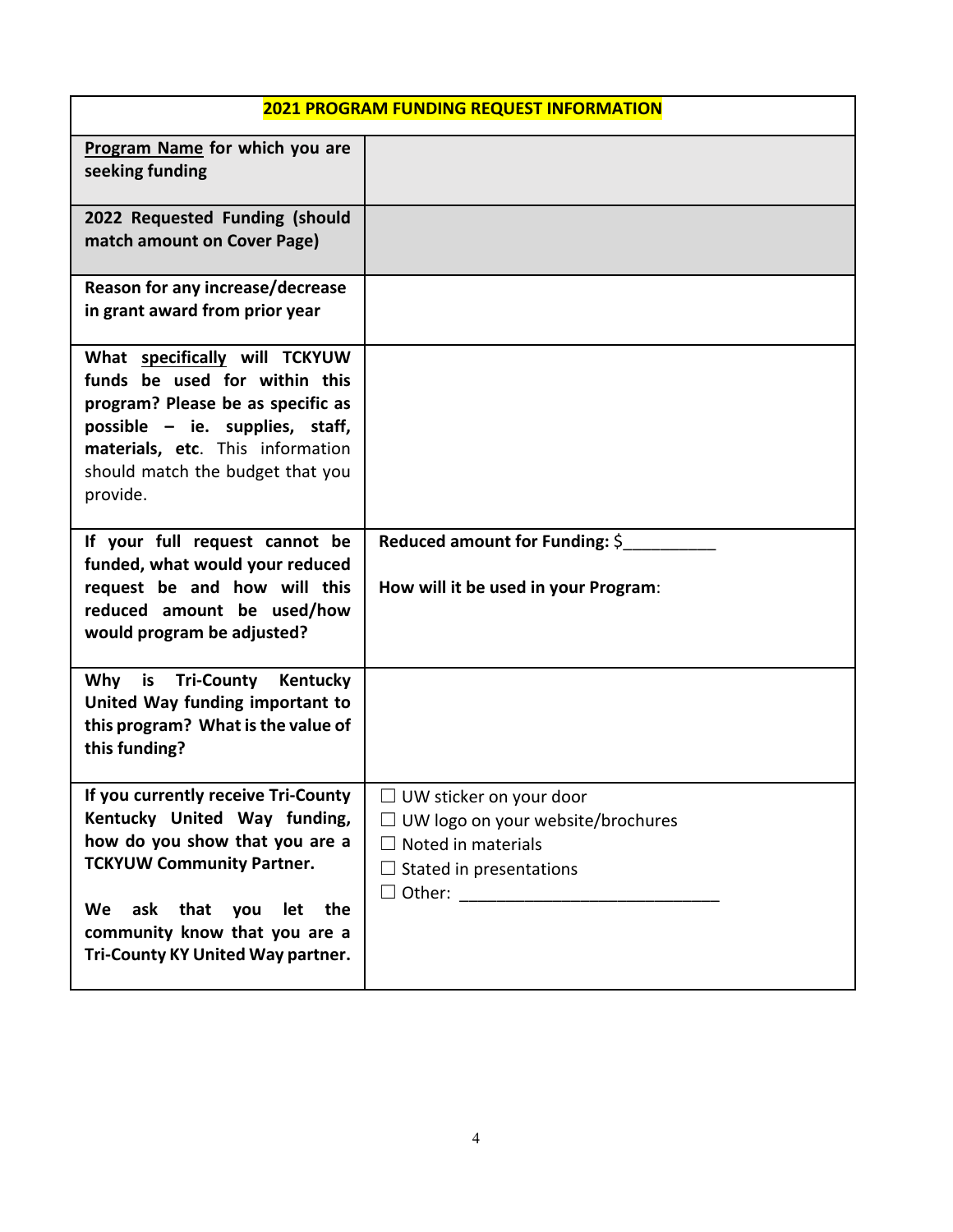| <b>2021 PROGRAM FUNDING REQUEST INFORMATION</b>                                                                                                                                                                                                  |                                                                                                                                           |  |  |
|--------------------------------------------------------------------------------------------------------------------------------------------------------------------------------------------------------------------------------------------------|-------------------------------------------------------------------------------------------------------------------------------------------|--|--|
| Program Name for which you are<br>seeking funding                                                                                                                                                                                                |                                                                                                                                           |  |  |
| 2022 Requested Funding (should<br>match amount on Cover Page)                                                                                                                                                                                    |                                                                                                                                           |  |  |
| Reason for any increase/decrease<br>in grant award from prior year                                                                                                                                                                               |                                                                                                                                           |  |  |
| What specifically will TCKYUW<br>funds be used for within this<br>program? Please be as specific as<br>possible - ie. supplies, staff,<br>materials, etc. This information<br>should match the budget that you<br>provide.                       |                                                                                                                                           |  |  |
| If your full request cannot be<br>funded, what would your reduced<br>request be and how will this<br>reduced amount be used/how<br>would program be adjusted?                                                                                    | Reduced amount for Funding: \$<br>How will it be used in your Program:                                                                    |  |  |
| Why<br>is Tri-County<br>Kentucky<br>United Way funding important to<br>this program? What is the value of<br>this funding?                                                                                                                       |                                                                                                                                           |  |  |
| If you currently receive Tri-County<br>Kentucky United Way funding,<br>how do you show that you are a<br><b>TCKYUW Community Partner.</b><br>ask that you<br>let the<br>We<br>community know that you are a<br>Tri-County KY United Way partner. | $\Box$ UW sticker on your door<br>$\Box$ UW logo on your website/brochures<br>$\Box$ Noted in materials<br>$\Box$ Stated in presentations |  |  |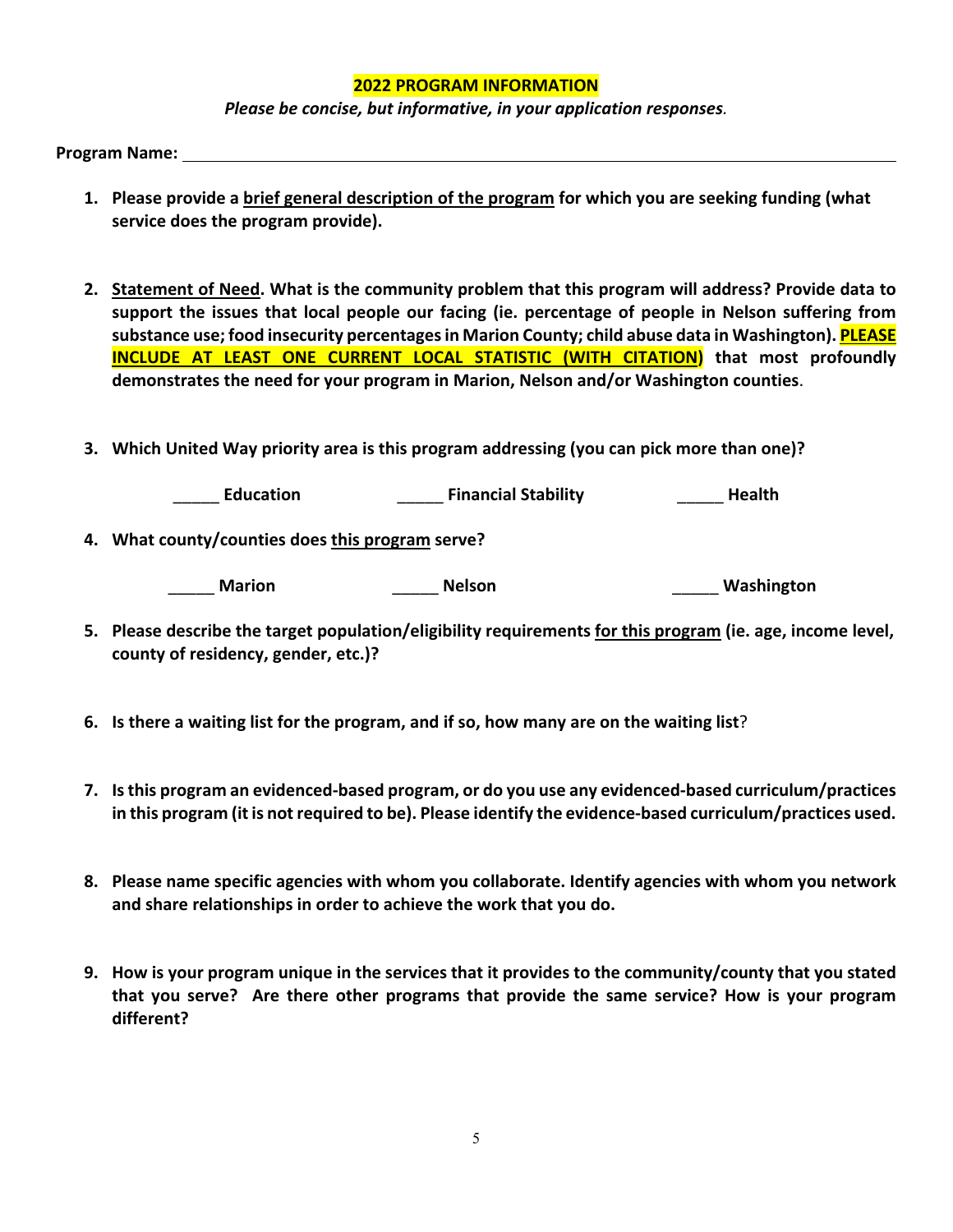#### **2022 PROGRAM INFORMATION**

*Please be concise, but informative, in your application responses.* 

Program Name:

- **1. Please provide a brief general description of the program for which you are seeking funding (what service does the program provide).**
- **2. Statement of Need. What is the community problem that this program will address? Provide data to support the issues that local people our facing (ie. percentage of people in Nelson suffering from substance use; food insecurity percentages in Marion County; child abuse data in Washington). PLEASE INCLUDE AT LEAST ONE CURRENT LOCAL STATISTIC (WITH CITATION) that most profoundly demonstrates the need for your program in Marion, Nelson and/or Washington counties**.
- **3. Which United Way priority area is this program addressing (you can pick more than one)?**

\_\_\_\_\_ **Education** \_\_\_\_\_ **Financial Stability** \_\_\_\_\_ **Health**

**4. What county/counties does this program serve?** 

\_\_\_\_\_ **Marion** \_\_\_\_\_ **Nelson** \_\_\_\_\_ **Washington** 

- **5. Please describe the target population/eligibility requirements for this program (ie. age, income level, county of residency, gender, etc.)?**
- **6. Is there a waiting list for the program, and if so, how many are on the waiting list**?
- **7. Is this program an evidenced‐based program, or do you use any evidenced‐based curriculum/practices in this program (it is not required to be). Please identify the evidence‐based curriculum/practices used.**
- **8. Please name specific agencies with whom you collaborate. Identify agencies with whom you network and share relationships in order to achieve the work that you do.**
- **9. How is your program unique in the services that it provides to the community/county that you stated that you serve? Are there other programs that provide the same service? How is your program different?**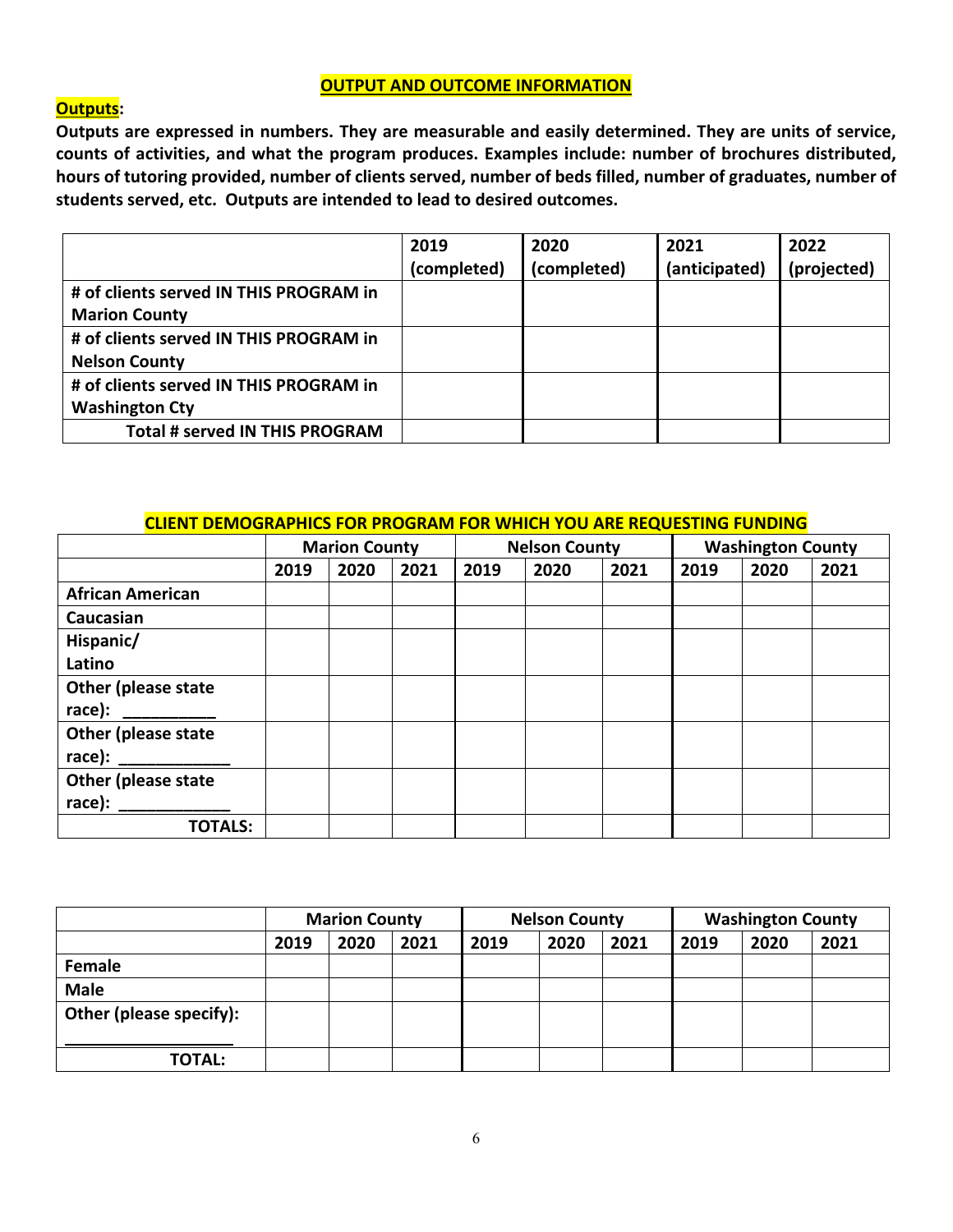#### **OUTPUT AND OUTCOME INFORMATION**

#### **Outputs:**

**Outputs are expressed in numbers. They are measurable and easily determined. They are units of service, counts of activities, and what the program produces. Examples include: number of brochures distributed, hours of tutoring provided, number of clients served, number of beds filled, number of graduates, number of students served, etc. Outputs are intended to lead to desired outcomes.** 

|                                        | 2019        | 2020        | 2021          | 2022        |
|----------------------------------------|-------------|-------------|---------------|-------------|
|                                        | (completed) | (completed) | (anticipated) | (projected) |
| # of clients served IN THIS PROGRAM in |             |             |               |             |
| <b>Marion County</b>                   |             |             |               |             |
| # of clients served IN THIS PROGRAM in |             |             |               |             |
| <b>Nelson County</b>                   |             |             |               |             |
| # of clients served IN THIS PROGRAM in |             |             |               |             |
| <b>Washington Cty</b>                  |             |             |               |             |
| Total # served IN THIS PROGRAM         |             |             |               |             |

#### **CLIENT DEMOGRAPHICS FOR PROGRAM FOR WHICH YOU ARE REQUESTING FUNDING**

|                                 | <b>Marion County</b> |      | <b>Nelson County</b> |      |      | <b>Washington County</b> |      |      |      |
|---------------------------------|----------------------|------|----------------------|------|------|--------------------------|------|------|------|
|                                 | 2019                 | 2020 | 2021                 | 2019 | 2020 | 2021                     | 2019 | 2020 | 2021 |
| <b>African American</b>         |                      |      |                      |      |      |                          |      |      |      |
| Caucasian                       |                      |      |                      |      |      |                          |      |      |      |
| Hispanic/                       |                      |      |                      |      |      |                          |      |      |      |
| Latino                          |                      |      |                      |      |      |                          |      |      |      |
| <b>Other (please state</b>      |                      |      |                      |      |      |                          |      |      |      |
| race):                          |                      |      |                      |      |      |                          |      |      |      |
| Other (please state             |                      |      |                      |      |      |                          |      |      |      |
| race): $\overline{\phantom{a}}$ |                      |      |                      |      |      |                          |      |      |      |
| Other (please state             |                      |      |                      |      |      |                          |      |      |      |
| race):                          |                      |      |                      |      |      |                          |      |      |      |
| <b>TOTALS:</b>                  |                      |      |                      |      |      |                          |      |      |      |

|                         | <b>Marion County</b> |      |      |      | <b>Nelson County</b> |      |      | <b>Washington County</b> |      |  |
|-------------------------|----------------------|------|------|------|----------------------|------|------|--------------------------|------|--|
|                         | 2019                 | 2020 | 2021 | 2019 | 2020                 | 2021 | 2019 | 2020                     | 2021 |  |
| Female                  |                      |      |      |      |                      |      |      |                          |      |  |
| <b>Male</b>             |                      |      |      |      |                      |      |      |                          |      |  |
| Other (please specify): |                      |      |      |      |                      |      |      |                          |      |  |
| <b>TOTAL:</b>           |                      |      |      |      |                      |      |      |                          |      |  |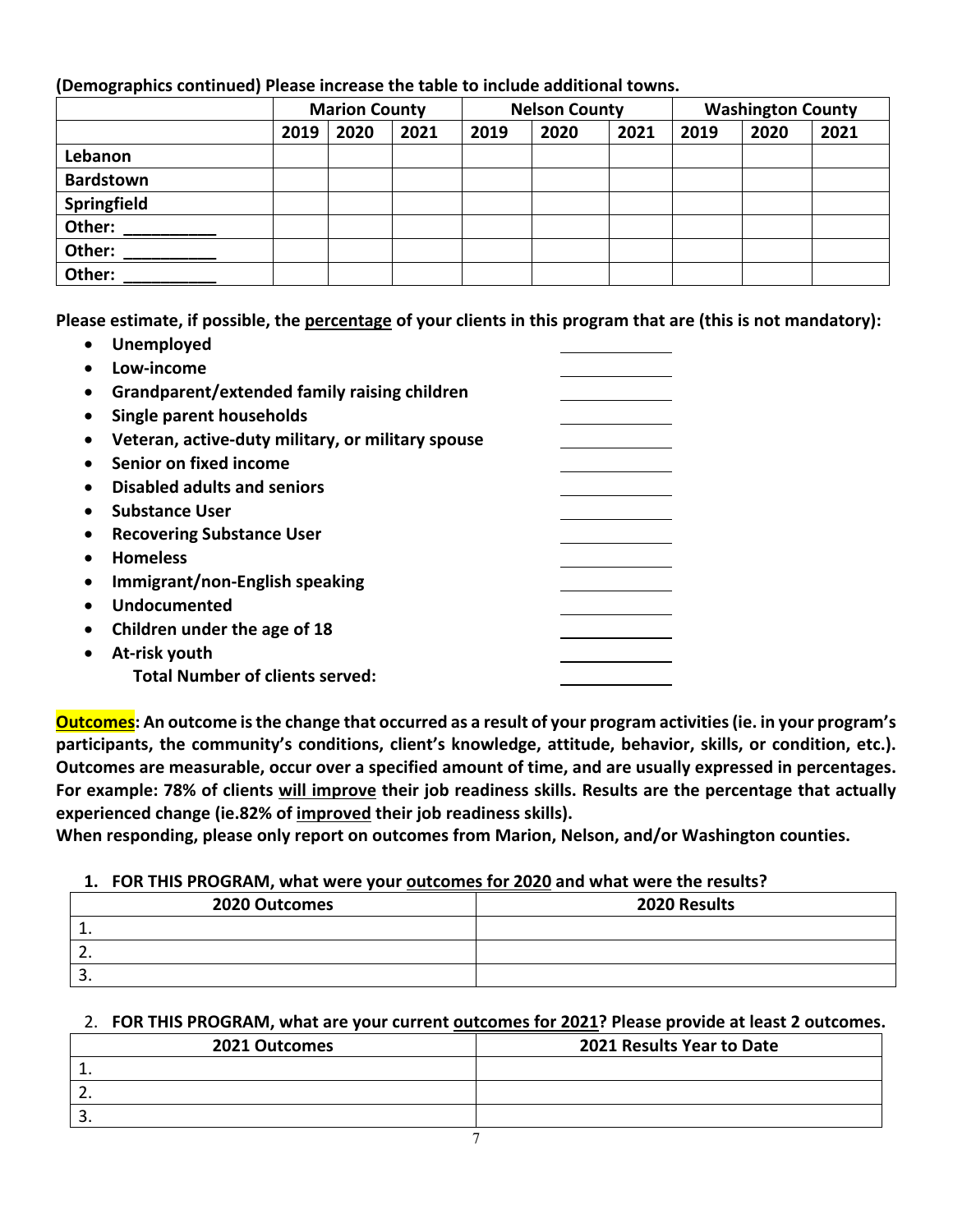## **(Demographics continued) Please increase the table to include additional towns.**

|                  | <b>Marion County</b> |      |      | <b>Nelson County</b> |      |      | <b>Washington County</b> |      |      |
|------------------|----------------------|------|------|----------------------|------|------|--------------------------|------|------|
|                  | 2019                 | 2020 | 2021 | 2019                 | 2020 | 2021 | 2019                     | 2020 | 2021 |
| Lebanon          |                      |      |      |                      |      |      |                          |      |      |
| <b>Bardstown</b> |                      |      |      |                      |      |      |                          |      |      |
| Springfield      |                      |      |      |                      |      |      |                          |      |      |
| Other:           |                      |      |      |                      |      |      |                          |      |      |
| Other:           |                      |      |      |                      |      |      |                          |      |      |
| Other:           |                      |      |      |                      |      |      |                          |      |      |

**Please estimate, if possible, the percentage of your clients in this program that are (this is not mandatory):** 

| <b>Unemployed</b>                                 |  |
|---------------------------------------------------|--|
| Low-income                                        |  |
| Grandparent/extended family raising children      |  |
| Single parent households                          |  |
| Veteran, active-duty military, or military spouse |  |
| Senior on fixed income                            |  |
| <b>Disabled adults and seniors</b>                |  |
| <b>Substance User</b>                             |  |
| <b>Recovering Substance User</b>                  |  |
| <b>Homeless</b>                                   |  |
| Immigrant/non-English speaking                    |  |
| <b>Undocumented</b>                               |  |
| Children under the age of 18                      |  |
| At-risk youth                                     |  |
| <b>Total Number of clients served:</b>            |  |
|                                                   |  |

**Outcomes: An outcome is the change that occurred as a result of your program activities (ie. in your program's participants, the community's conditions, client's knowledge, attitude, behavior, skills, or condition, etc.). Outcomes are measurable, occur over a specified amount of time, and are usually expressed in percentages. For example: 78% of clients will improve their job readiness skills. Results are the percentage that actually experienced change (ie.82% of improved their job readiness skills).** 

**When responding, please only report on outcomes from Marion, Nelson, and/or Washington counties.** 

## **1. FOR THIS PROGRAM, what were your outcomes for 2020 and what were the results?**

| 2020 Outcomes | 2020 Results |
|---------------|--------------|
|               |              |
| <u>.</u>      |              |
| <u>.</u>      |              |

## 2. **FOR THIS PROGRAM, what are your current outcomes for 2021? Please provide at least 2 outcomes.**

| 2021 Outcomes | 2021 Results Year to Date |
|---------------|---------------------------|
| ∸.            |                           |
| . <u>.</u>    |                           |
| <u>.</u>      |                           |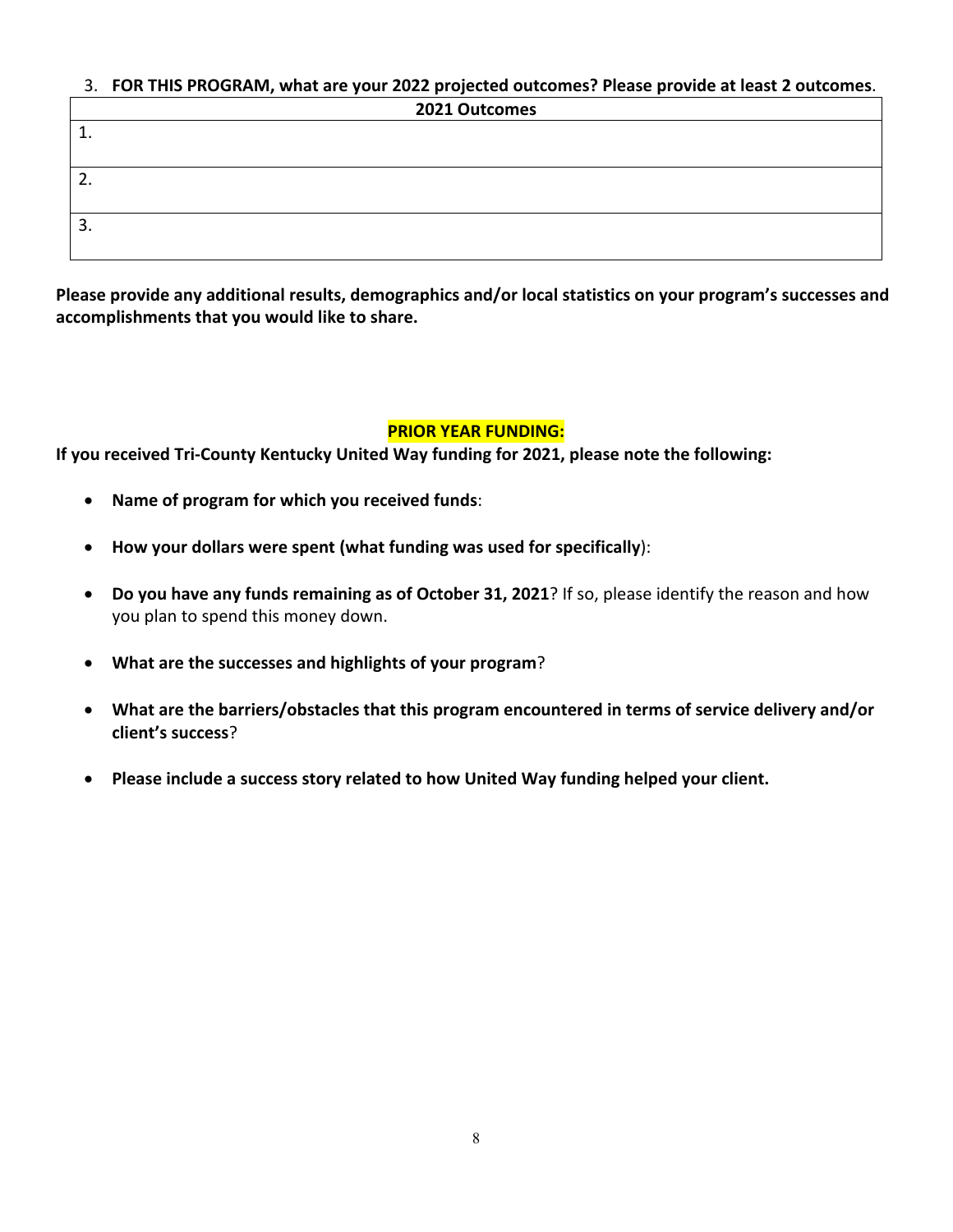# 3. **FOR THIS PROGRAM, what are your 2022 projected outcomes? Please provide at least 2 outcomes**.

| 2021 Outcomes |  |  |
|---------------|--|--|
| ᆠ.            |  |  |
|               |  |  |
| -<br><u>.</u> |  |  |
|               |  |  |
| э<br>J.       |  |  |
|               |  |  |

**Please provide any additional results, demographics and/or local statistics on your program's successes and accomplishments that you would like to share.**

## **PRIOR YEAR FUNDING:**

**If you received Tri‐County Kentucky United Way funding for 2021, please note the following:** 

- **Name of program for which you received funds**:
- **How your dollars were spent (what funding was used for specifically**):
- **Do you have any funds remaining as of October 31, 2021**? If so, please identify the reason and how you plan to spend this money down.
- **What are the successes and highlights of your program**?
- **What are the barriers/obstacles that this program encountered in terms of service delivery and/or client's success**?
- **Please include a success story related to how United Way funding helped your client.**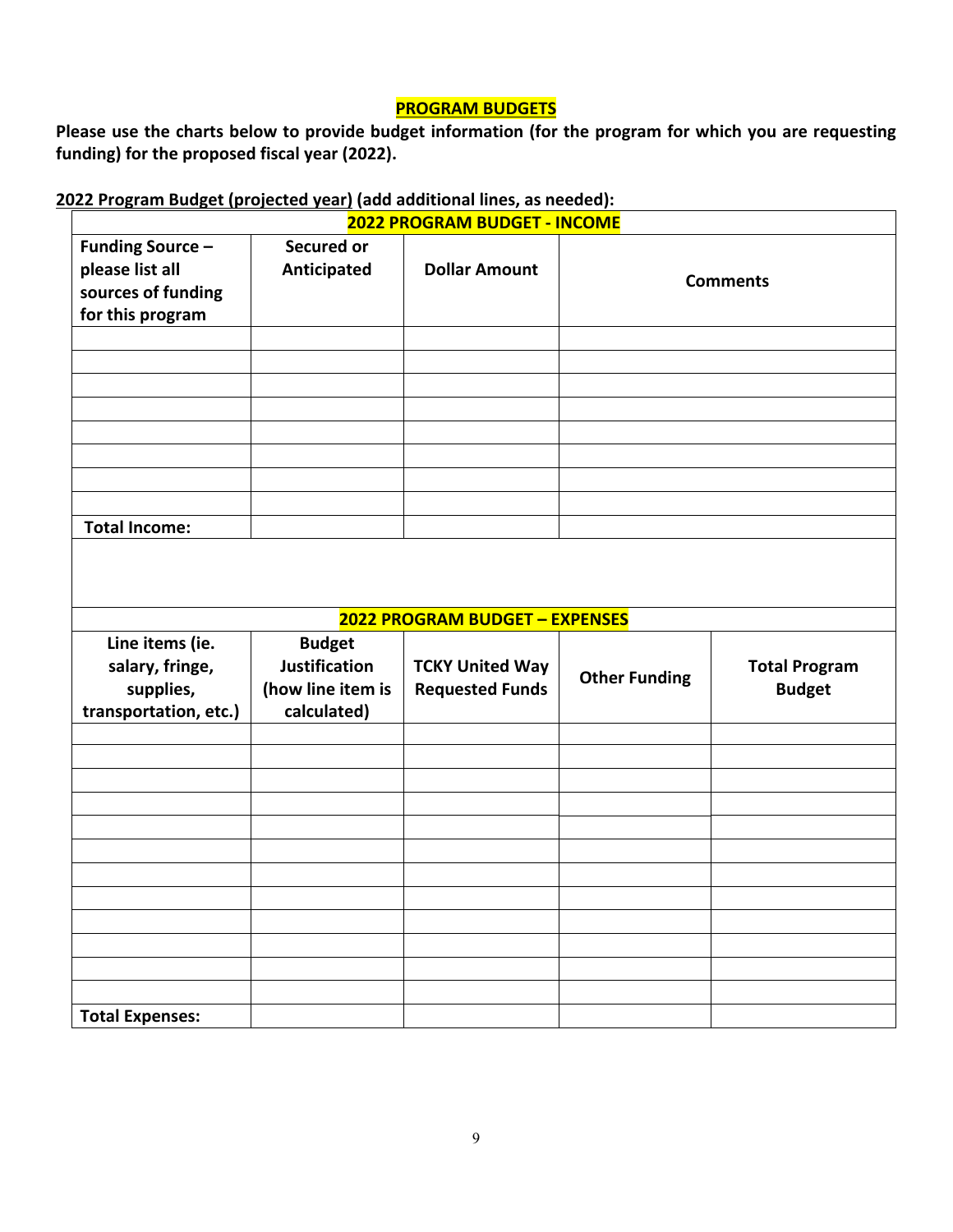## **PROGRAM BUDGETS**

**Please use the charts below to provide budget information (for the program for which you are requesting funding) for the proposed fiscal year (2022).** 

## **2022 Program Budget (projected year) (add additional lines, as needed):**

|                                                                                      | 2022 PROGRAM BUDGET - INCOME                                              |                                                                                           |                      |                                       |  |  |  |
|--------------------------------------------------------------------------------------|---------------------------------------------------------------------------|-------------------------------------------------------------------------------------------|----------------------|---------------------------------------|--|--|--|
| <b>Funding Source -</b><br>please list all<br>sources of funding<br>for this program | <b>Secured or</b><br>Anticipated                                          | <b>Dollar Amount</b>                                                                      | <b>Comments</b>      |                                       |  |  |  |
|                                                                                      |                                                                           |                                                                                           |                      |                                       |  |  |  |
|                                                                                      |                                                                           |                                                                                           |                      |                                       |  |  |  |
|                                                                                      |                                                                           |                                                                                           |                      |                                       |  |  |  |
|                                                                                      |                                                                           |                                                                                           |                      |                                       |  |  |  |
|                                                                                      |                                                                           |                                                                                           |                      |                                       |  |  |  |
|                                                                                      |                                                                           |                                                                                           |                      |                                       |  |  |  |
|                                                                                      |                                                                           |                                                                                           |                      |                                       |  |  |  |
| <b>Total Income:</b>                                                                 |                                                                           |                                                                                           |                      |                                       |  |  |  |
| Line items (ie.<br>salary, fringe,<br>supplies,<br>transportation, etc.)             | <b>Budget</b><br><b>Justification</b><br>(how line item is<br>calculated) | <b>2022 PROGRAM BUDGET - EXPENSES</b><br><b>TCKY United Way</b><br><b>Requested Funds</b> | <b>Other Funding</b> | <b>Total Program</b><br><b>Budget</b> |  |  |  |
|                                                                                      |                                                                           |                                                                                           |                      |                                       |  |  |  |
|                                                                                      |                                                                           |                                                                                           |                      |                                       |  |  |  |
|                                                                                      |                                                                           |                                                                                           |                      |                                       |  |  |  |
|                                                                                      |                                                                           |                                                                                           |                      |                                       |  |  |  |
|                                                                                      |                                                                           |                                                                                           |                      |                                       |  |  |  |
|                                                                                      |                                                                           |                                                                                           |                      |                                       |  |  |  |
|                                                                                      |                                                                           |                                                                                           |                      |                                       |  |  |  |
|                                                                                      |                                                                           |                                                                                           |                      |                                       |  |  |  |
|                                                                                      |                                                                           |                                                                                           |                      |                                       |  |  |  |
|                                                                                      |                                                                           |                                                                                           |                      |                                       |  |  |  |
|                                                                                      |                                                                           |                                                                                           |                      |                                       |  |  |  |
| <b>Total Expenses:</b>                                                               |                                                                           |                                                                                           |                      |                                       |  |  |  |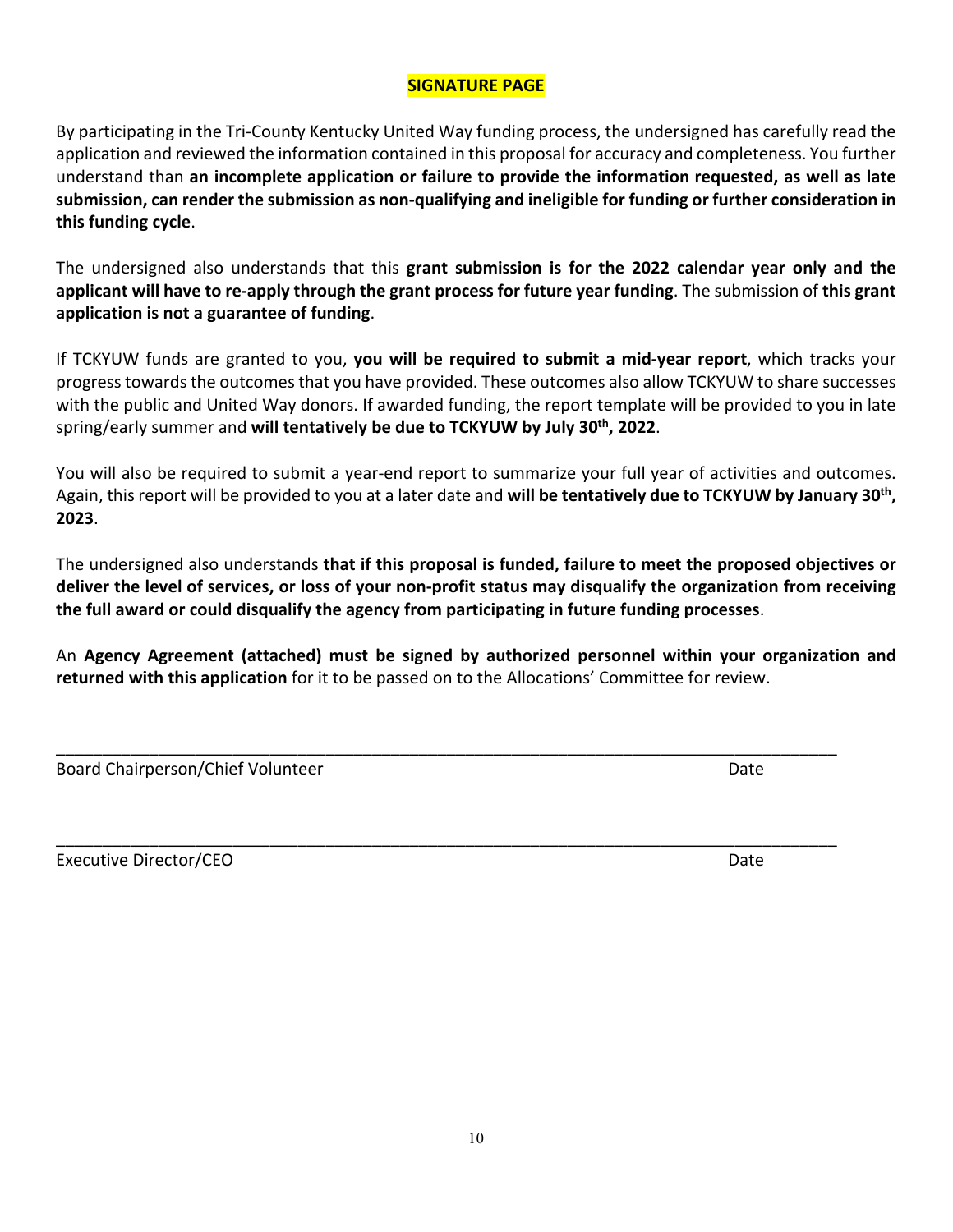## **SIGNATURE PAGE**

By participating in the Tri‐County Kentucky United Way funding process, the undersigned has carefully read the application and reviewed the information contained in this proposal for accuracy and completeness. You further understand than **an incomplete application or failure to provide the information requested, as well as late submission, can render the submission as non‐qualifying and ineligible for funding or further consideration in this funding cycle**.

The undersigned also understands that this **grant submission is for the 2022 calendar year only and the applicant will have to re‐apply through the grant process for future year funding**. The submission of **this grant application is not a guarantee of funding**.

If TCKYUW funds are granted to you, **you will be required to submit a mid‐year report**, which tracks your progress towards the outcomes that you have provided. These outcomes also allow TCKYUW to share successes with the public and United Way donors. If awarded funding, the report template will be provided to you in late spring/early summer and **will tentatively be due to TCKYUW by July 30th, 2022**.

You will also be required to submit a year-end report to summarize your full year of activities and outcomes. Again, this report will be provided to you at a later date and **will be tentatively due to TCKYUW by January 30th, 2023**.

The undersigned also understands **that if this proposal is funded, failure to meet the proposed objectives or deliver the level of services, or loss of your non‐profit status may disqualify the organization from receiving the full award or could disqualify the agency from participating in future funding processes**.

An **Agency Agreement (attached) must be signed by authorized personnel within your organization and returned with this application** for it to be passed on to the Allocations' Committee for review.

\_\_\_\_\_\_\_\_\_\_\_\_\_\_\_\_\_\_\_\_\_\_\_\_\_\_\_\_\_\_\_\_\_\_\_\_\_\_\_\_\_\_\_\_\_\_\_\_\_\_\_\_\_\_\_\_\_\_\_\_\_\_\_\_\_\_\_\_\_\_\_\_\_\_\_\_\_\_\_\_\_\_\_\_

| Board Chairperson/Chief Volunteer | Date |
|-----------------------------------|------|
|-----------------------------------|------|

Executive Director/CEO Date

\_\_\_\_\_\_\_\_\_\_\_\_\_\_\_\_\_\_\_\_\_\_\_\_\_\_\_\_\_\_\_\_\_\_\_\_\_\_\_\_\_\_\_\_\_\_\_\_\_\_\_\_\_\_\_\_\_\_\_\_\_\_\_\_\_\_\_\_\_\_\_\_\_\_\_\_\_\_\_\_\_\_\_\_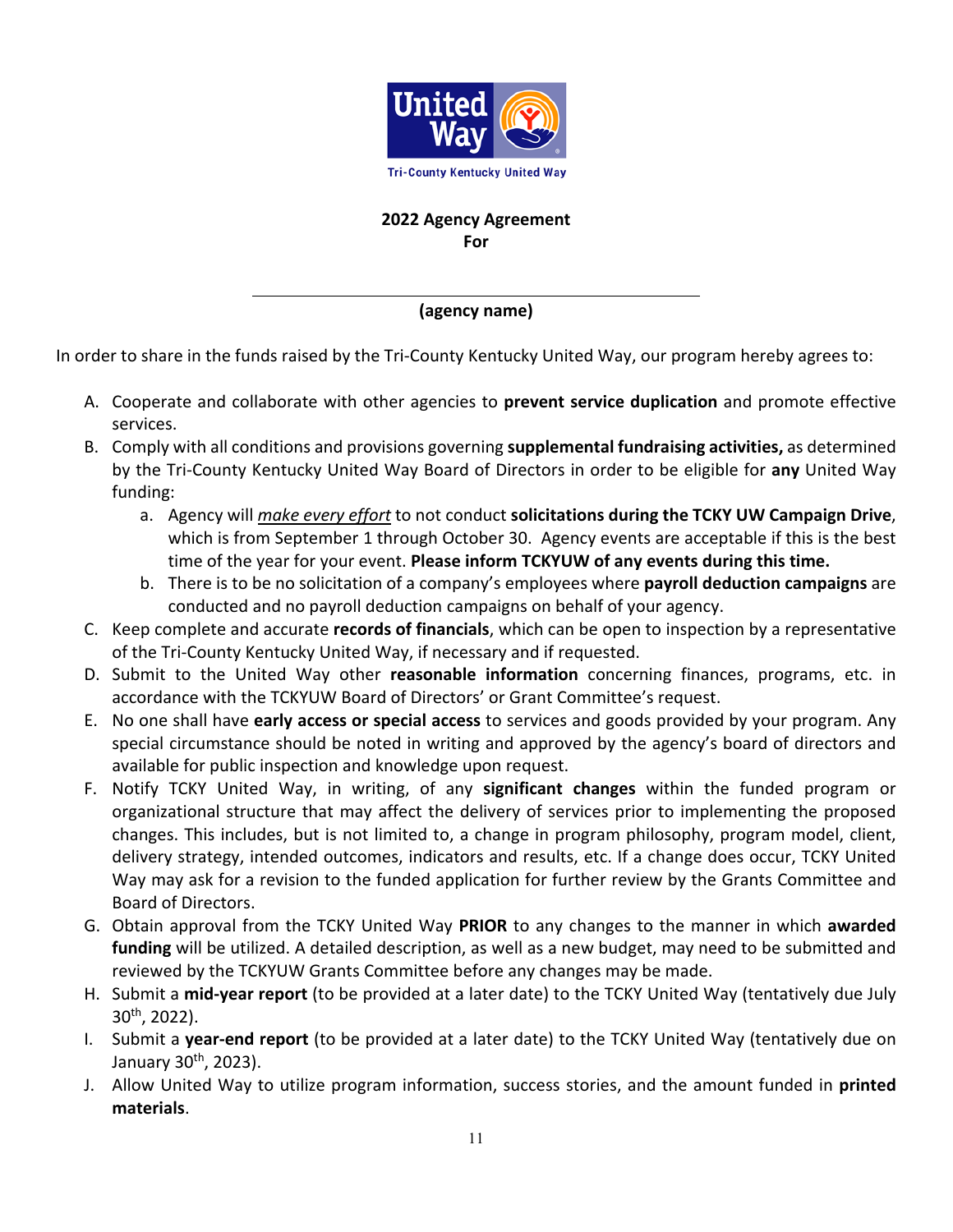

## **2022 Agency Agreement For**

## **(agency name)**

In order to share in the funds raised by the Tri-County Kentucky United Way, our program hereby agrees to:

- A. Cooperate and collaborate with other agencies to **prevent service duplication** and promote effective services.
- B. Comply with all conditions and provisions governing **supplemental fundraising activities,** as determined by the Tri‐County Kentucky United Way Board of Directors in order to be eligible for **any** United Way funding:
	- a. Agency will *make every effort* to not conduct **solicitations during the TCKY UW Campaign Drive**, which is from September 1 through October 30. Agency events are acceptable if this is the best time of the year for your event. **Please inform TCKYUW of any events during this time.**
	- b. There is to be no solicitation of a company's employees where **payroll deduction campaigns** are conducted and no payroll deduction campaigns on behalf of your agency.
- C. Keep complete and accurate **records of financials**, which can be open to inspection by a representative of the Tri‐County Kentucky United Way, if necessary and if requested.
- D. Submit to the United Way other **reasonable information** concerning finances, programs, etc. in accordance with the TCKYUW Board of Directors' or Grant Committee's request.
- E. No one shall have **early access or special access** to services and goods provided by your program. Any special circumstance should be noted in writing and approved by the agency's board of directors and available for public inspection and knowledge upon request.
- F. Notify TCKY United Way, in writing, of any **significant changes** within the funded program or organizational structure that may affect the delivery of services prior to implementing the proposed changes. This includes, but is not limited to, a change in program philosophy, program model, client, delivery strategy, intended outcomes, indicators and results, etc. If a change does occur, TCKY United Way may ask for a revision to the funded application for further review by the Grants Committee and Board of Directors.
- G. Obtain approval from the TCKY United Way **PRIOR** to any changes to the manner in which **awarded funding** will be utilized. A detailed description, as well as a new budget, may need to be submitted and reviewed by the TCKYUW Grants Committee before any changes may be made.
- H. Submit a **mid‐year report** (to be provided at a later date) to the TCKY United Way (tentatively due July  $30^{th}$ , 2022).
- I. Submit a **year‐end report** (to be provided at a later date) to the TCKY United Way (tentatively due on January 30th, 2023).
- J. Allow United Way to utilize program information, success stories, and the amount funded in **printed materials**.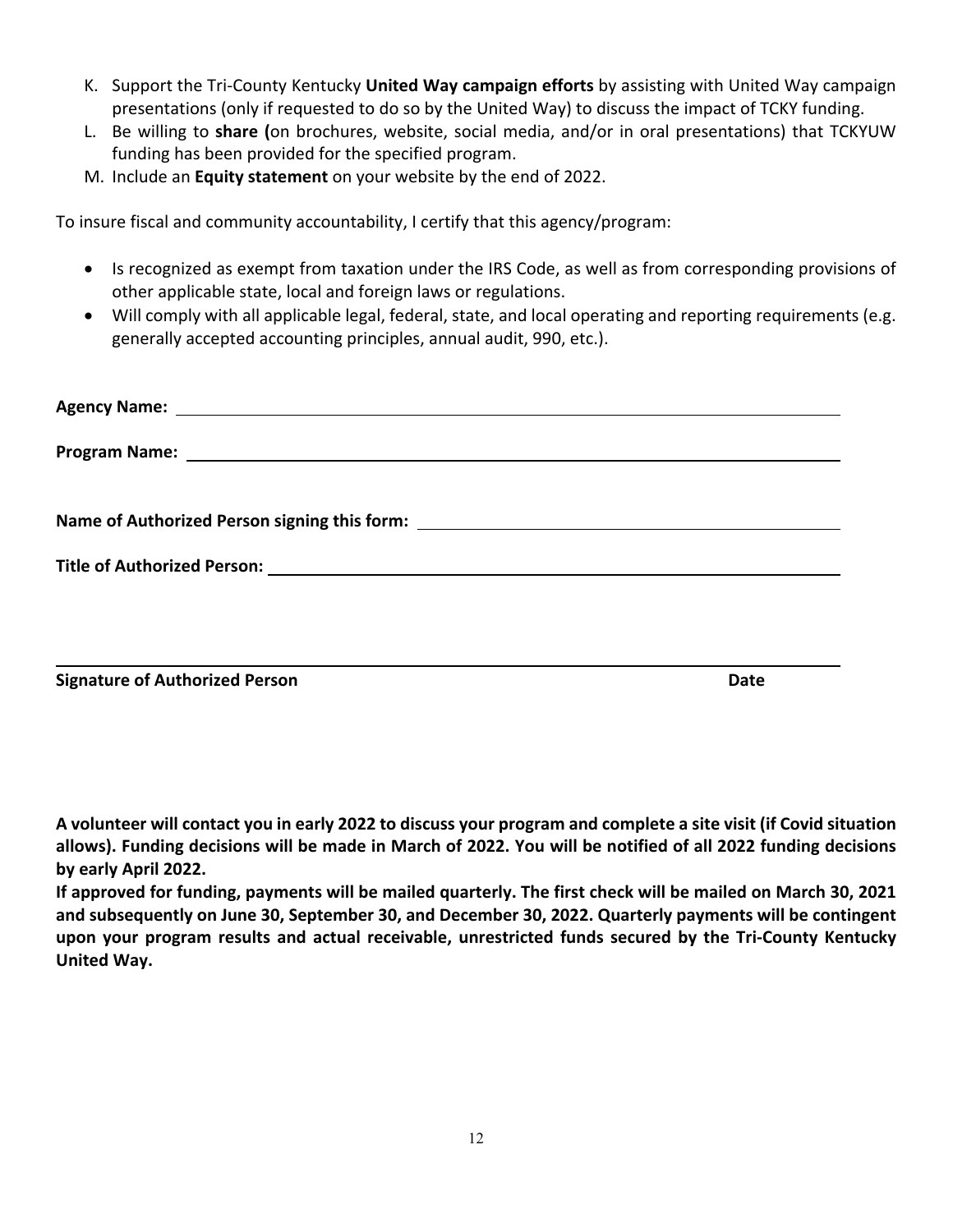- K. Support the Tri‐County Kentucky **United Way campaign efforts** by assisting with United Way campaign presentations (only if requested to do so by the United Way) to discuss the impact of TCKY funding.
- L. Be willing to **share (**on brochures, website, social media, and/or in oral presentations) that TCKYUW funding has been provided for the specified program.
- M. Include an **Equity statement** on your website by the end of 2022.

To insure fiscal and community accountability, I certify that this agency/program:

- Is recognized as exempt from taxation under the IRS Code, as well as from corresponding provisions of other applicable state, local and foreign laws or regulations.
- Will comply with all applicable legal, federal, state, and local operating and reporting requirements (e.g. generally accepted accounting principles, annual audit, 990, etc.).

| Name of Authorized Person signing this form: ___________________________________ |      |
|----------------------------------------------------------------------------------|------|
|                                                                                  |      |
| <b>Signature of Authorized Person</b>                                            | Date |

**A volunteer will contact you in early 2022 to discuss your program and complete a site visit (if Covid situation allows). Funding decisions will be made in March of 2022. You will be notified of all 2022 funding decisions by early April 2022.** 

**If approved for funding, payments will be mailed quarterly. The first check will be mailed on March 30, 2021 and subsequently on June 30, September 30, and December 30, 2022. Quarterly payments will be contingent upon your program results and actual receivable, unrestricted funds secured by the Tri‐County Kentucky United Way.**